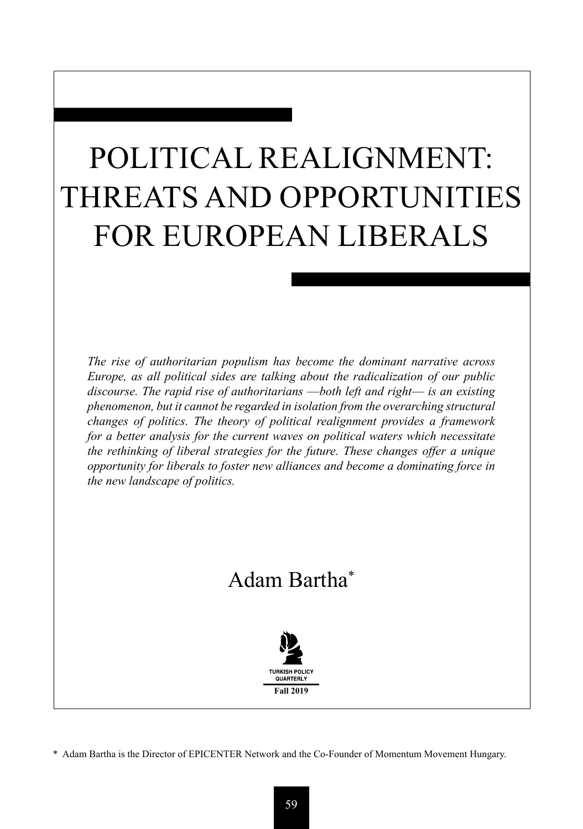# POLITICAL REALIGNMENT: THREATS AND OPPORTUNITIES FOR EUROPEAN LIBERALS

*The rise of authoritarian populism has become the dominant narrative across Europe, as all political sides are talking about the radicalization of our public discourse. The rapid rise of authoritarians ⸻both left and right⸻ is an existing phenomenon, but it cannot be regarded in isolation from the overarching structural changes of politics. The theory of political realignment provides a framework for a better analysis for the current waves on political waters which necessitate the rethinking of liberal strategies for the future. These changes offer a unique opportunity for liberals to foster new alliances and become a dominating force in the new landscape of politics.* 

# Adam Bartha\*



\* Adam Bartha is the Director of EPICENTER Network and the Co-Founder of Momentum Movement Hungary.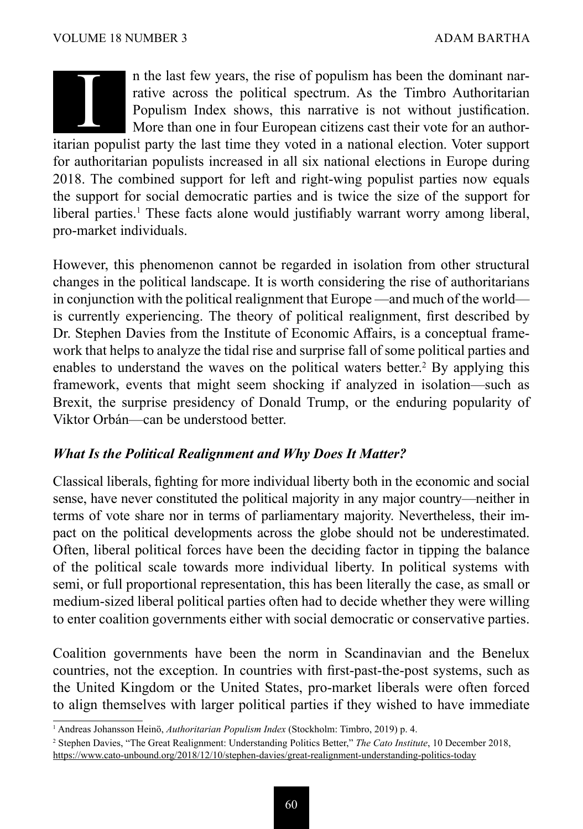n the last few years, the rise of populism has been the dominant narrative across the political spectrum. As the Timbro Authoritarian Populism Index shows, this narrative is not without justification. More than one in four European citizens cast their vote for an author-Italy is the last few years, the rise of populism has been the dominant narrative across the political spectrum. As the Timbro Authoritarian Populism Index shows, this narrative is not without justification. More than one for authoritarian populists increased in all six national elections in Europe during 2018. The combined support for left and right-wing populist parties now equals the support for social democratic parties and is twice the size of the support for liberal parties.<sup>1</sup> These facts alone would justifiably warrant worry among liberal, pro-market individuals.

However, this phenomenon cannot be regarded in isolation from other structural changes in the political landscape. It is worth considering the rise of authoritarians in conjunction with the political realignment that Europe —and much of the world is currently experiencing. The theory of political realignment, first described by Dr. Stephen Davies from the Institute of Economic Affairs, is a conceptual framework that helps to analyze the tidal rise and surprise fall of some political parties and enables to understand the waves on the political waters better.<sup>2</sup> By applying this framework, events that might seem shocking if analyzed in isolation—such as Brexit, the surprise presidency of Donald Trump, or the enduring popularity of Viktor Orbán—can be understood better.

## *What Is the Political Realignment and Why Does It Matter?*

Classical liberals, fighting for more individual liberty both in the economic and social sense, have never constituted the political majority in any major country*⸻*neither in terms of vote share nor in terms of parliamentary majority. Nevertheless, their impact on the political developments across the globe should not be underestimated. Often, liberal political forces have been the deciding factor in tipping the balance of the political scale towards more individual liberty. In political systems with semi, or full proportional representation, this has been literally the case, as small or medium-sized liberal political parties often had to decide whether they were willing to enter coalition governments either with social democratic or conservative parties.

Coalition governments have been the norm in Scandinavian and the Benelux countries, not the exception. In countries with first-past-the-post systems, such as the United Kingdom or the United States, pro-market liberals were often forced to align themselves with larger political parties if they wished to have immediate

<sup>1</sup> Andreas Johansson Heinö, *Authoritarian Populism Index* (Stockholm: Timbro, 2019) p. 4.

<sup>2</sup> Stephen Davies, "The Great Realignment: Understanding Politics Better," *The Cato Institute*, 10 December 2018, https://www.cato-unbound.org/2018/12/10/stephen-davies/great-realignment-understanding-politics-today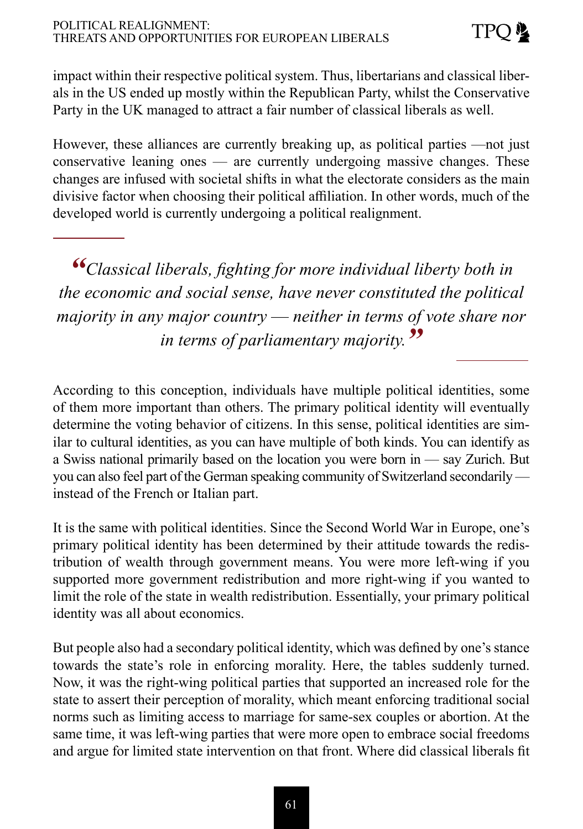#### POLITICAL REALIGNMENT: THREATS AND OPPORTUNITIES FOR EUROPEAN LIBERALS

impact within their respective political system. Thus, libertarians and classical liberals in the US ended up mostly within the Republican Party, whilst the Conservative Party in the UK managed to attract a fair number of classical liberals as well.

However, these alliances are currently breaking up, as political parties *⸻*not just conservative leaning ones — are currently undergoing massive changes. These changes are infused with societal shifts in what the electorate considers as the main divisive factor when choosing their political affiliation. In other words, much of the developed world is currently undergoing a political realignment.

*"Classical liberals, fighting for more individual liberty both in the economic and social sense, have never constituted the political majority in any major country ⸻ neither in terms of vote share nor in terms of parliamentary majority."*

According to this conception, individuals have multiple political identities, some of them more important than others. The primary political identity will eventually determine the voting behavior of citizens. In this sense, political identities are similar to cultural identities, as you can have multiple of both kinds. You can identify as a Swiss national primarily based on the location you were born in *⸻* say Zurich. But you can also feel part of the German speaking community of Switzerland secondarily *⸻* instead of the French or Italian part.

It is the same with political identities. Since the Second World War in Europe, one's primary political identity has been determined by their attitude towards the redistribution of wealth through government means. You were more left-wing if you supported more government redistribution and more right-wing if you wanted to limit the role of the state in wealth redistribution. Essentially, your primary political identity was all about economics.

But people also had a secondary political identity, which was defined by one's stance towards the state's role in enforcing morality. Here, the tables suddenly turned. Now, it was the right-wing political parties that supported an increased role for the state to assert their perception of morality, which meant enforcing traditional social norms such as limiting access to marriage for same-sex couples or abortion. At the same time, it was left-wing parties that were more open to embrace social freedoms and argue for limited state intervention on that front. Where did classical liberals fit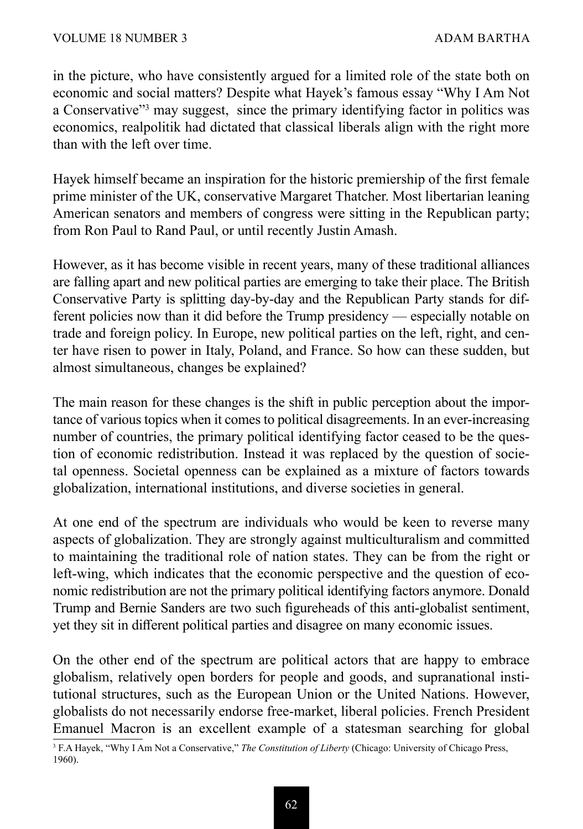in the picture, who have consistently argued for a limited role of the state both on economic and social matters? Despite what Hayek's famous essay "Why I Am Not a Conservative"<sup>3</sup> may suggest, since the primary identifying factor in politics was economics, realpolitik had dictated that classical liberals align with the right more than with the left over time.

Hayek himself became an inspiration for the historic premiership of the first female prime minister of the UK, conservative Margaret Thatcher. Most libertarian leaning American senators and members of congress were sitting in the Republican party; from Ron Paul to Rand Paul, or until recently Justin Amash.

However, as it has become visible in recent years, many of these traditional alliances are falling apart and new political parties are emerging to take their place. The British Conservative Party is splitting day-by-day and the Republican Party stands for different policies now than it did before the Trump presidency *⸻* especially notable on trade and foreign policy. In Europe, new political parties on the left, right, and center have risen to power in Italy, Poland, and France. So how can these sudden, but almost simultaneous, changes be explained?

The main reason for these changes is the shift in public perception about the importance of various topics when it comes to political disagreements. In an ever-increasing number of countries, the primary political identifying factor ceased to be the question of economic redistribution. Instead it was replaced by the question of societal openness. Societal openness can be explained as a mixture of factors towards globalization, international institutions, and diverse societies in general.

At one end of the spectrum are individuals who would be keen to reverse many aspects of globalization. They are strongly against multiculturalism and committed to maintaining the traditional role of nation states. They can be from the right or left-wing, which indicates that the economic perspective and the question of economic redistribution are not the primary political identifying factors anymore. Donald Trump and Bernie Sanders are two such figureheads of this anti-globalist sentiment, yet they sit in different political parties and disagree on many economic issues.

On the other end of the spectrum are political actors that are happy to embrace globalism, relatively open borders for people and goods, and supranational institutional structures, such as the European Union or the United Nations. However, globalists do not necessarily endorse free-market, liberal policies. French President Emanuel Macron is an excellent example of a statesman searching for global

<sup>3</sup> F.A Hayek, "Why I Am Not a Conservative," *The Constitution of Liberty* (Chicago: University of Chicago Press, 1960).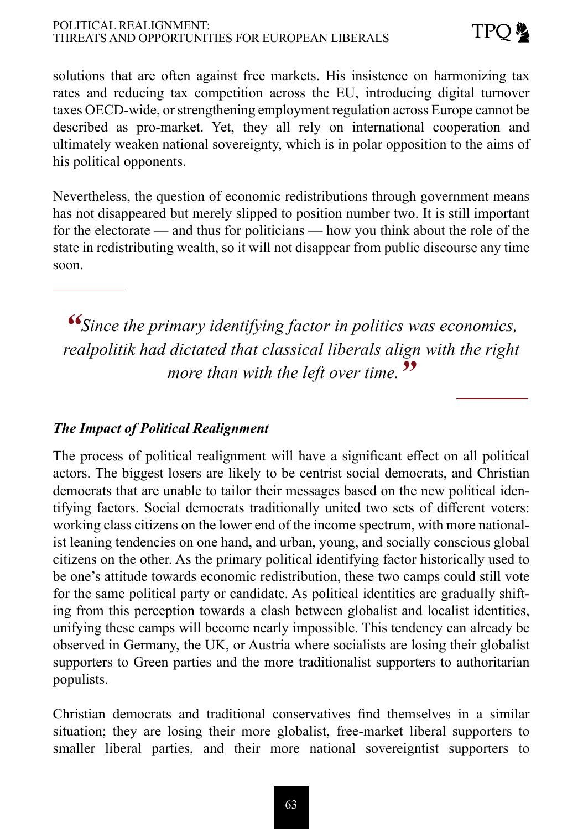#### POLITICAL REALIGNMENT: THREATS AND OPPORTUNITIES FOR EUROPEAN LIBERALS

solutions that are often against free markets. His insistence on harmonizing tax rates and reducing tax competition across the EU, introducing digital turnover taxes OECD-wide, or strengthening employment regulation across Europe cannot be described as pro-market. Yet, they all rely on international cooperation and ultimately weaken national sovereignty, which is in polar opposition to the aims of his political opponents.

Nevertheless, the question of economic redistributions through government means has not disappeared but merely slipped to position number two. It is still important for the electorate — and thus for politicians — how you think about the role of the state in redistributing wealth, so it will not disappear from public discourse any time soon.

*"Since the primary identifying factor in politics was economics, realpolitik had dictated that classical liberals align with the right more than with the left over time."*

## *The Impact of Political Realignment*

The process of political realignment will have a significant effect on all political actors. The biggest losers are likely to be centrist social democrats, and Christian democrats that are unable to tailor their messages based on the new political identifying factors. Social democrats traditionally united two sets of different voters: working class citizens on the lower end of the income spectrum, with more nationalist leaning tendencies on one hand, and urban, young, and socially conscious global citizens on the other. As the primary political identifying factor historically used to be one's attitude towards economic redistribution, these two camps could still vote for the same political party or candidate. As political identities are gradually shifting from this perception towards a clash between globalist and localist identities, unifying these camps will become nearly impossible. This tendency can already be observed in Germany, the UK, or Austria where socialists are losing their globalist supporters to Green parties and the more traditionalist supporters to authoritarian populists.

Christian democrats and traditional conservatives find themselves in a similar situation; they are losing their more globalist, free-market liberal supporters to smaller liberal parties, and their more national sovereigntist supporters to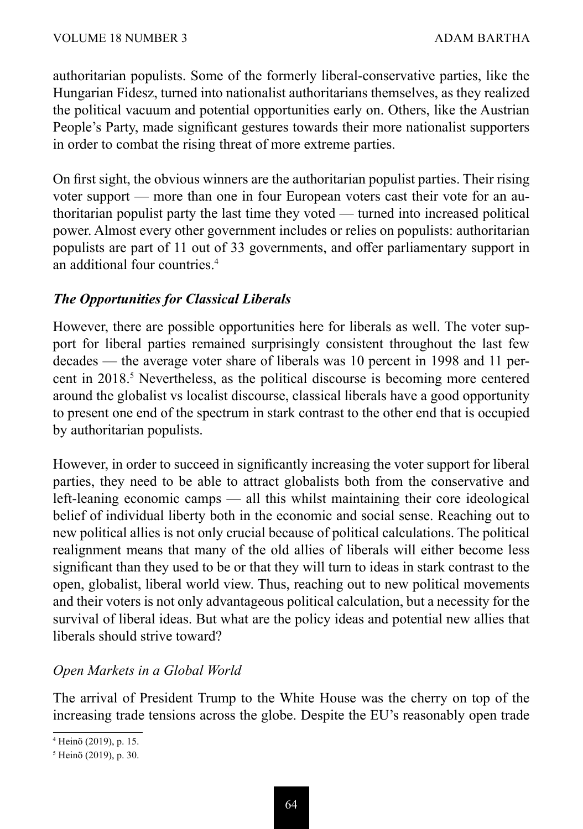authoritarian populists. Some of the formerly liberal-conservative parties, like the Hungarian Fidesz, turned into nationalist authoritarians themselves, as they realized the political vacuum and potential opportunities early on. Others, like the Austrian People's Party, made significant gestures towards their more nationalist supporters in order to combat the rising threat of more extreme parties.

On first sight, the obvious winners are the authoritarian populist parties. Their rising voter support — more than one in four European voters cast their vote for an authoritarian populist party the last time they voted *⸻* turned into increased political power. Almost every other government includes or relies on populists: authoritarian populists are part of 11 out of 33 governments, and offer parliamentary support in an additional four countries.4

## *The Opportunities for Classical Liberals*

However, there are possible opportunities here for liberals as well. The voter support for liberal parties remained surprisingly consistent throughout the last few decades *⸻* the average voter share of liberals was 10 percent in 1998 and 11 percent in 2018.<sup>5</sup> Nevertheless, as the political discourse is becoming more centered around the globalist vs localist discourse, classical liberals have a good opportunity to present one end of the spectrum in stark contrast to the other end that is occupied by authoritarian populists.

However, in order to succeed in significantly increasing the voter support for liberal parties, they need to be able to attract globalists both from the conservative and left-leaning economic camps *⸻* all this whilst maintaining their core ideological belief of individual liberty both in the economic and social sense. Reaching out to new political allies is not only crucial because of political calculations. The political realignment means that many of the old allies of liberals will either become less significant than they used to be or that they will turn to ideas in stark contrast to the open, globalist, liberal world view. Thus, reaching out to new political movements and their voters is not only advantageous political calculation, but a necessity for the survival of liberal ideas. But what are the policy ideas and potential new allies that liberals should strive toward?

#### *Open Markets in a Global World*

The arrival of President Trump to the White House was the cherry on top of the increasing trade tensions across the globe. Despite the EU's reasonably open trade

<sup>4</sup> Heinö (2019), p. 15.

<sup>5</sup> Heinö (2019), p. 30.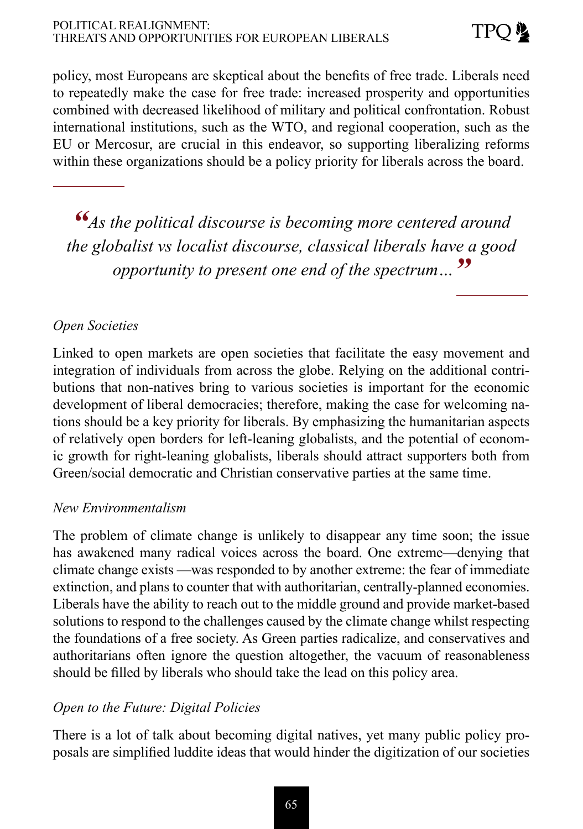policy, most Europeans are skeptical about the benefits of free trade. Liberals need to repeatedly make the case for free trade: increased prosperity and opportunities combined with decreased likelihood of military and political confrontation. Robust international institutions, such as the WTO, and regional cooperation, such as the EU or Mercosur, are crucial in this endeavor, so supporting liberalizing reforms within these organizations should be a policy priority for liberals across the board.

*"As the political discourse is becoming more centered around the globalist vs localist discourse, classical liberals have a good opportunity to present one end of the spectrum…"*

## *Open Societies*

Linked to open markets are open societies that facilitate the easy movement and integration of individuals from across the globe. Relying on the additional contributions that non-natives bring to various societies is important for the economic development of liberal democracies; therefore, making the case for welcoming nations should be a key priority for liberals. By emphasizing the humanitarian aspects of relatively open borders for left-leaning globalists, and the potential of economic growth for right-leaning globalists, liberals should attract supporters both from Green/social democratic and Christian conservative parties at the same time.

#### *New Environmentalism*

The problem of climate change is unlikely to disappear any time soon; the issue has awakened many radical voices across the board. One extreme—denying that climate change exists *⸻*was responded to by another extreme: the fear of immediate extinction, and plans to counter that with authoritarian, centrally-planned economies. Liberals have the ability to reach out to the middle ground and provide market-based solutions to respond to the challenges caused by the climate change whilst respecting the foundations of a free society. As Green parties radicalize, and conservatives and authoritarians often ignore the question altogether, the vacuum of reasonableness should be filled by liberals who should take the lead on this policy area.

## *Open to the Future: Digital Policies*

There is a lot of talk about becoming digital natives, yet many public policy proposals are simplified luddite ideas that would hinder the digitization of our societies